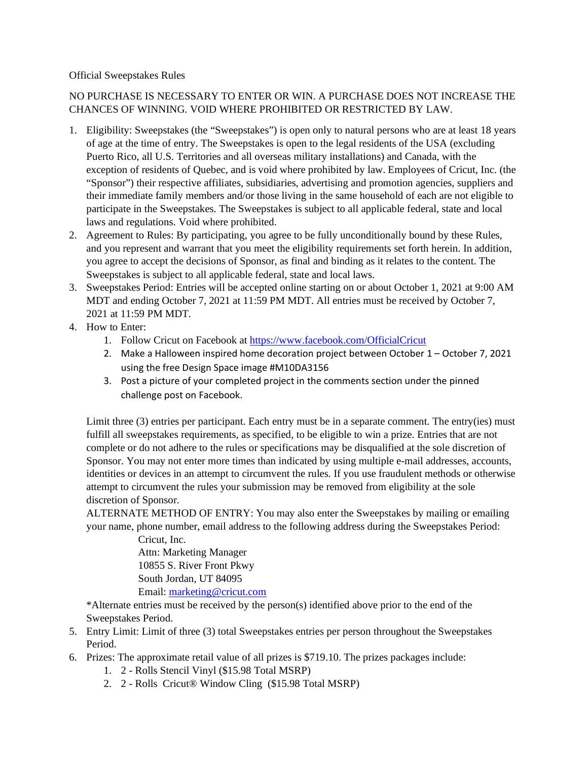## Official Sweepstakes Rules

## NO PURCHASE IS NECESSARY TO ENTER OR WIN. A PURCHASE DOES NOT INCREASE THE CHANCES OF WINNING. VOID WHERE PROHIBITED OR RESTRICTED BY LAW.

- 1. Eligibility: Sweepstakes (the "Sweepstakes") is open only to natural persons who are at least 18 years of age at the time of entry. The Sweepstakes is open to the legal residents of the USA (excluding Puerto Rico, all U.S. Territories and all overseas military installations) and Canada, with the exception of residents of Quebec, and is void where prohibited by law. Employees of Cricut, Inc. (the "Sponsor") their respective affiliates, subsidiaries, advertising and promotion agencies, suppliers and their immediate family members and/or those living in the same household of each are not eligible to participate in the Sweepstakes. The Sweepstakes is subject to all applicable federal, state and local laws and regulations. Void where prohibited.
- 2. Agreement to Rules: By participating, you agree to be fully unconditionally bound by these Rules, and you represent and warrant that you meet the eligibility requirements set forth herein. In addition, you agree to accept the decisions of Sponsor, as final and binding as it relates to the content. The Sweepstakes is subject to all applicable federal, state and local laws.
- 3. Sweepstakes Period: Entries will be accepted online starting on or about October 1, 2021 at 9:00 AM MDT and ending October 7, 2021 at 11:59 PM MDT. All entries must be received by October 7, 2021 at 11:59 PM MDT.
- 4. How to Enter:
	- 1. Follow Cricut on Facebook at<https://www.facebook.com/OfficialCricut>
	- 2. Make a Halloween inspired home decoration project between October 1 October 7, 2021 using the free Design Space image #M10DA3156
	- 3. Post a picture of your completed project in the comments section under the pinned challenge post on Facebook.

Limit three (3) entries per participant. Each entry must be in a separate comment. The entry(ies) must fulfill all sweepstakes requirements, as specified, to be eligible to win a prize. Entries that are not complete or do not adhere to the rules or specifications may be disqualified at the sole discretion of Sponsor. You may not enter more times than indicated by using multiple e-mail addresses, accounts, identities or devices in an attempt to circumvent the rules. If you use fraudulent methods or otherwise attempt to circumvent the rules your submission may be removed from eligibility at the sole discretion of Sponsor.

ALTERNATE METHOD OF ENTRY: You may also enter the Sweepstakes by mailing or emailing your name, phone number, email address to the following address during the Sweepstakes Period:

> Cricut, Inc. Attn: Marketing Manager 10855 S. River Front Pkwy South Jordan, UT 84095 Email: [marketing@cricut.com](mailto:marketing@cricut.com)

\*Alternate entries must be received by the person(s) identified above prior to the end of the Sweepstakes Period.

- 5. Entry Limit: Limit of three (3) total Sweepstakes entries per person throughout the Sweepstakes Period.
- 6. Prizes: The approximate retail value of all prizes is \$719.10. The prizes packages include:
	- 1. 2 Rolls Stencil Vinyl (\$15.98 Total MSRP)
	- 2. 2 Rolls Cricut® Window Cling (\$15.98 Total MSRP)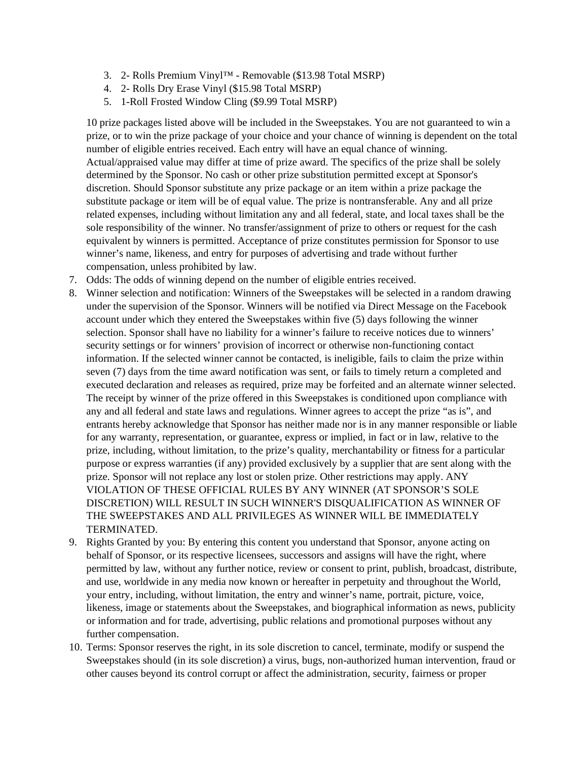- 3. 2- Rolls Premium Vinyl™ Removable (\$13.98 Total MSRP)
- 4. 2- Rolls Dry Erase Vinyl (\$15.98 Total MSRP)
- 5. 1-Roll Frosted Window Cling (\$9.99 Total MSRP)

10 prize packages listed above will be included in the Sweepstakes. You are not guaranteed to win a prize, or to win the prize package of your choice and your chance of winning is dependent on the total number of eligible entries received. Each entry will have an equal chance of winning. Actual/appraised value may differ at time of prize award. The specifics of the prize shall be solely determined by the Sponsor. No cash or other prize substitution permitted except at Sponsor's discretion. Should Sponsor substitute any prize package or an item within a prize package the substitute package or item will be of equal value. The prize is nontransferable. Any and all prize related expenses, including without limitation any and all federal, state, and local taxes shall be the sole responsibility of the winner. No transfer/assignment of prize to others or request for the cash equivalent by winners is permitted. Acceptance of prize constitutes permission for Sponsor to use winner's name, likeness, and entry for purposes of advertising and trade without further compensation, unless prohibited by law.

- 7. Odds: The odds of winning depend on the number of eligible entries received.
- 8. Winner selection and notification: Winners of the Sweepstakes will be selected in a random drawing under the supervision of the Sponsor. Winners will be notified via Direct Message on the Facebook account under which they entered the Sweepstakes within five (5) days following the winner selection. Sponsor shall have no liability for a winner's failure to receive notices due to winners' security settings or for winners' provision of incorrect or otherwise non-functioning contact information. If the selected winner cannot be contacted, is ineligible, fails to claim the prize within seven (7) days from the time award notification was sent, or fails to timely return a completed and executed declaration and releases as required, prize may be forfeited and an alternate winner selected. The receipt by winner of the prize offered in this Sweepstakes is conditioned upon compliance with any and all federal and state laws and regulations. Winner agrees to accept the prize "as is", and entrants hereby acknowledge that Sponsor has neither made nor is in any manner responsible or liable for any warranty, representation, or guarantee, express or implied, in fact or in law, relative to the prize, including, without limitation, to the prize's quality, merchantability or fitness for a particular purpose or express warranties (if any) provided exclusively by a supplier that are sent along with the prize. Sponsor will not replace any lost or stolen prize. Other restrictions may apply. ANY VIOLATION OF THESE OFFICIAL RULES BY ANY WINNER (AT SPONSOR'S SOLE DISCRETION) WILL RESULT IN SUCH WINNER'S DISQUALIFICATION AS WINNER OF THE SWEEPSTAKES AND ALL PRIVILEGES AS WINNER WILL BE IMMEDIATELY TERMINATED.
- 9. Rights Granted by you: By entering this content you understand that Sponsor, anyone acting on behalf of Sponsor, or its respective licensees, successors and assigns will have the right, where permitted by law, without any further notice, review or consent to print, publish, broadcast, distribute, and use, worldwide in any media now known or hereafter in perpetuity and throughout the World, your entry, including, without limitation, the entry and winner's name, portrait, picture, voice, likeness, image or statements about the Sweepstakes, and biographical information as news, publicity or information and for trade, advertising, public relations and promotional purposes without any further compensation.
- 10. Terms: Sponsor reserves the right, in its sole discretion to cancel, terminate, modify or suspend the Sweepstakes should (in its sole discretion) a virus, bugs, non-authorized human intervention, fraud or other causes beyond its control corrupt or affect the administration, security, fairness or proper